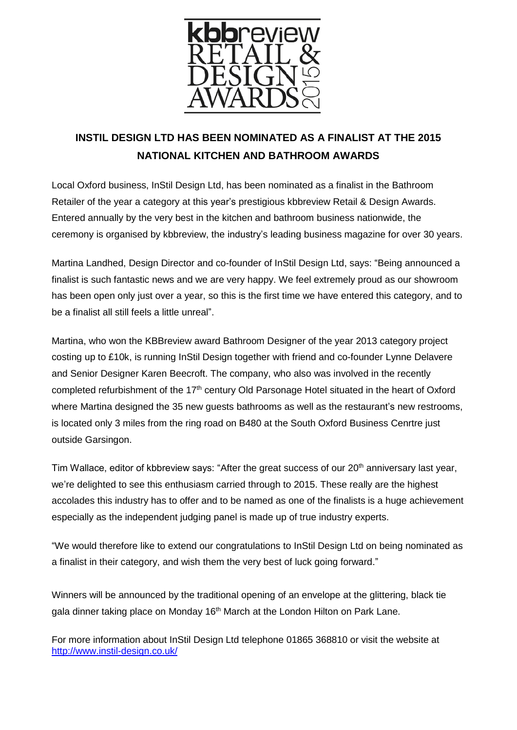

## **INSTIL DESIGN LTD HAS BEEN NOMINATED AS A FINALIST AT THE 2015 NATIONAL KITCHEN AND BATHROOM AWARDS**

Local Oxford business, InStil Design Ltd, has been nominated as a finalist in the Bathroom Retailer of the year a category at this year's prestigious kbbreview Retail & Design Awards. Entered annually by the very best in the kitchen and bathroom business nationwide, the ceremony is organised by kbbreview, the industry's leading business magazine for over 30 years.

Martina Landhed, Design Director and co-founder of InStil Design Ltd, says: "Being announced a finalist is such fantastic news and we are very happy. We feel extremely proud as our showroom has been open only just over a year, so this is the first time we have entered this category, and to be a finalist all still feels a little unreal".

Martina, who won the KBBreview award Bathroom Designer of the year 2013 category project costing up to £10k, is running InStil Design together with friend and co-founder Lynne Delavere and Senior Designer Karen Beecroft. The company, who also was involved in the recently completed refurbishment of the 17<sup>th</sup> century Old Parsonage Hotel situated in the heart of Oxford where Martina designed the 35 new guests bathrooms as well as the restaurant's new restrooms, is located only 3 miles from the ring road on B480 at the South Oxford Business Cenrtre just outside Garsingon.

Tim Wallace, editor of kbbreview says: "After the great success of our 20<sup>th</sup> anniversary last year, we're delighted to see this enthusiasm carried through to 2015. These really are the highest accolades this industry has to offer and to be named as one of the finalists is a huge achievement especially as the independent judging panel is made up of true industry experts.

"We would therefore like to extend our congratulations to InStil Design Ltd on being nominated as a finalist in their category, and wish them the very best of luck going forward."

Winners will be announced by the traditional opening of an envelope at the glittering, black tie gala dinner taking place on Monday 16<sup>th</sup> March at the London Hilton on Park Lane.

For more information about InStil Design Ltd telephone 01865 368810 or visit the website at <http://www.instil-design.co.uk/>